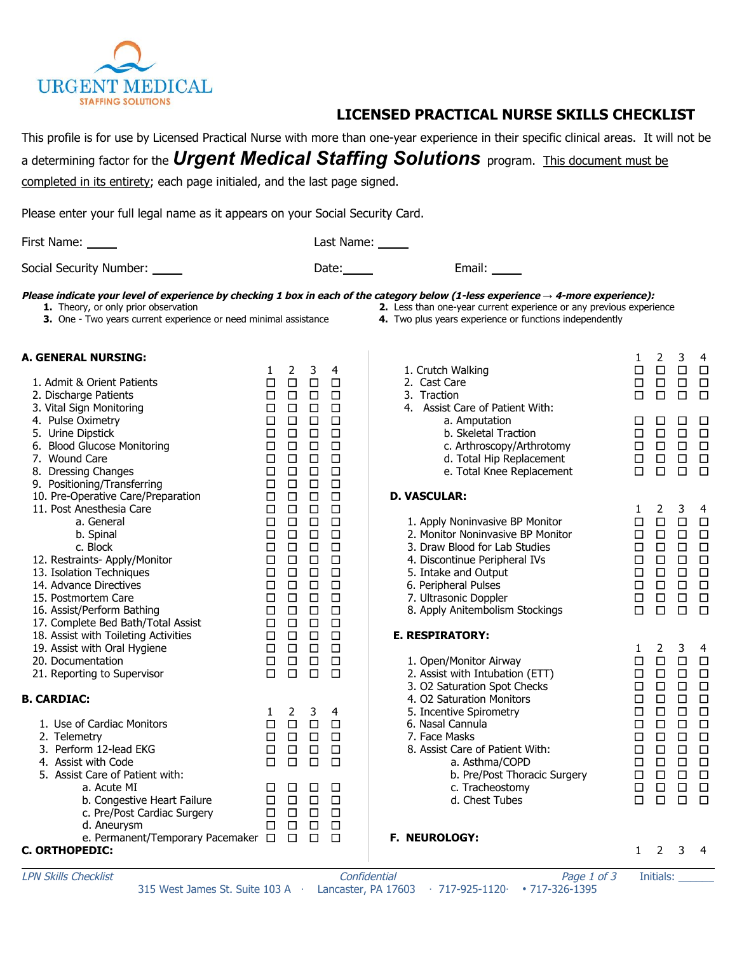

## **LICENSED PRACTICAL NURSE SKILLS CHECKLIST**

This profile is for use by Licensed Practical Nurse with more than one-year experience in their specific clinical areas. It will not be

<sup>a</sup> determining factor for the *Urgent Medical Staffing Solutions* program. This document must be

completed in its entirety; each page initialed, and the last page signed.

| Please enter your full legal name as it appears on your Social Security Card.                                                                                                                                                                                                                                                                                                                                                                                                                                      |                                                                                                                                                                                                            |                                                                                                                                                                                                              |                                                                                                                                                                                                                     |                                                                                                                                                                                       |                                                                                                                                                                                                                                                                                                                                                                                                                                                                                                 |                                                                                                                                                                         |                                                                                                                                                                                                  |                                                                                                                                                                   |                                                                                                                                                                        |
|--------------------------------------------------------------------------------------------------------------------------------------------------------------------------------------------------------------------------------------------------------------------------------------------------------------------------------------------------------------------------------------------------------------------------------------------------------------------------------------------------------------------|------------------------------------------------------------------------------------------------------------------------------------------------------------------------------------------------------------|--------------------------------------------------------------------------------------------------------------------------------------------------------------------------------------------------------------|---------------------------------------------------------------------------------------------------------------------------------------------------------------------------------------------------------------------|---------------------------------------------------------------------------------------------------------------------------------------------------------------------------------------|-------------------------------------------------------------------------------------------------------------------------------------------------------------------------------------------------------------------------------------------------------------------------------------------------------------------------------------------------------------------------------------------------------------------------------------------------------------------------------------------------|-------------------------------------------------------------------------------------------------------------------------------------------------------------------------|--------------------------------------------------------------------------------------------------------------------------------------------------------------------------------------------------|-------------------------------------------------------------------------------------------------------------------------------------------------------------------|------------------------------------------------------------------------------------------------------------------------------------------------------------------------|
| First Name: _____                                                                                                                                                                                                                                                                                                                                                                                                                                                                                                  |                                                                                                                                                                                                            |                                                                                                                                                                                                              |                                                                                                                                                                                                                     | Last Name: _____                                                                                                                                                                      |                                                                                                                                                                                                                                                                                                                                                                                                                                                                                                 |                                                                                                                                                                         |                                                                                                                                                                                                  |                                                                                                                                                                   |                                                                                                                                                                        |
| Social Security Number: _____                                                                                                                                                                                                                                                                                                                                                                                                                                                                                      |                                                                                                                                                                                                            |                                                                                                                                                                                                              |                                                                                                                                                                                                                     | Date: $\qquad \qquad$                                                                                                                                                                 | Email:                                                                                                                                                                                                                                                                                                                                                                                                                                                                                          |                                                                                                                                                                         |                                                                                                                                                                                                  |                                                                                                                                                                   |                                                                                                                                                                        |
| Please indicate your level of experience by checking 1 box in each of the category below (1-less experience $\rightarrow$ 4-more experience):<br>1. Theory, or only prior observation<br>3. One - Two years current experience or need minimal assistance                                                                                                                                                                                                                                                          |                                                                                                                                                                                                            |                                                                                                                                                                                                              |                                                                                                                                                                                                                     |                                                                                                                                                                                       | 2. Less than one-year current experience or any previous experience<br>4. Two plus years experience or functions independently                                                                                                                                                                                                                                                                                                                                                                  |                                                                                                                                                                         |                                                                                                                                                                                                  |                                                                                                                                                                   |                                                                                                                                                                        |
| <b>A. GENERAL NURSING:</b><br>1. Admit & Orient Patients<br>2. Discharge Patients<br>3. Vital Sign Monitoring<br>4. Pulse Oximetry<br>5. Urine Dipstick<br>6. Blood Glucose Monitoring<br>7. Wound Care<br>8. Dressing Changes<br>9. Positioning/Transferring<br>10. Pre-Operative Care/Preparation<br>11. Post Anesthesia Care<br>a. General<br>b. Spinal<br>c. Block<br>12. Restraints- Apply/Monitor<br>13. Isolation Techniques<br>14. Advance Directives<br>15. Postmortem Care<br>16. Assist/Perform Bathing | $\mathbf{1}$<br>$\Box$<br>$\Box$<br>$\Box$<br>$\Box$<br>$\Box$<br>$\Box$<br>$\Box$<br>$\Box$<br>$\Box$<br>$\Box$<br>$\Box$<br>$\Box$<br>$\Box$<br>$\Box$<br>$\Box$<br>$\Box$<br>$\Box$<br>$\Box$<br>$\Box$ | $\overline{2}$<br>$\Box$<br>$\Box$<br>$\Box$<br>$\Box$<br>$\Box$<br>$\Box$<br>$\Box$<br>$\Box$<br>$\Box$<br>$\Box$<br>$\Box$<br>$\Box$<br>$\Box$<br>$\Box$<br>$\Box$<br>$\Box$<br>$\Box$<br>$\Box$<br>$\Box$ | 3 <sup>7</sup><br>$\Box$ $\Box$<br>$\Box$<br>$\Box$<br>$\Box$<br>$\Box$<br>$\Box$<br>$\Box$<br>$\Box$<br>$\Box$<br>$\Box$<br>$\Box$<br>$\Box$<br>$\Box$<br>$\Box$<br>$\Box$<br>$\Box$<br>$\Box$<br>$\Box$<br>$\Box$ | 4<br>$\Box$<br>$\Box$<br>$\Box$<br>$\Box$<br>$\Box$<br>$\Box$<br>$\Box$<br>$\Box$<br>$\Box$<br>$\Box$<br>$\Box$<br>$\Box$<br>$\Box$<br>$\Box$<br>$\Box$<br>$\Box$<br>$\Box$<br>$\Box$ | 1. Crutch Walking<br>2. Cast Care<br>3. Traction<br>4. Assist Care of Patient With:<br>a. Amputation<br>b. Skeletal Traction<br>c. Arthroscopy/Arthrotomy<br>d. Total Hip Replacement<br>e. Total Knee Replacement<br><b>D. VASCULAR:</b><br>1. Apply Noninvasive BP Monitor<br>2. Monitor Noninvasive BP Monitor<br>3. Draw Blood for Lab Studies<br>4. Discontinue Peripheral IVs<br>5. Intake and Output<br>6. Peripheral Pulses<br>7. Ultrasonic Doppler<br>8. Apply Anitembolism Stockings | 1<br>$\Box$<br>$\Box$<br>□<br>$\Box$<br>$\Box$<br>$\Box$<br>$\Box$<br>$\Box$<br>$\mathbf{1}$<br>$\Box$<br>$\Box$<br>$\Box$<br>$\Box$<br>$\Box$<br>$\Box$<br>$\Box$<br>□ | $\overline{2}$<br>$\Box$<br>$\Box$<br>$\Box$<br>$\Box$<br>$\Box$<br>$\Box$<br>$\Box$<br>$\Box$<br>$\overline{2}$<br>$\Box$<br>$\Box$<br>$\Box$<br>$\Box$<br>$\Box$<br>$\Box$<br>$\Box$<br>$\Box$ | 3<br>$\Box$<br>$\Box$<br>$\Box$<br>□<br>$\Box$<br>$\Box$<br>$\Box$<br>$\Box$<br>3<br>$\Box$<br>$\Box$<br>$\Box$<br>$\Box$<br>$\Box$<br>$\Box$<br>$\Box$<br>$\Box$ | 4<br>$\Box$<br>$\Box$<br>$\Box$<br>$\Box$<br>$\Box$<br>$\Box$<br>$\Box$<br>$\Box$<br>4<br>$\Box$<br>$\Box$<br>$\Box$<br>$\Box$<br>$\Box$<br>$\Box$<br>$\Box$<br>$\Box$ |
| 17. Complete Bed Bath/Total Assist<br>18. Assist with Toileting Activities<br>19. Assist with Oral Hygiene<br>20. Documentation<br>21. Reporting to Supervisor<br><b>B. CARDIAC:</b><br>1. Use of Cardiac Monitors<br>2. Telemetry<br>3. Perform 12-lead EKG<br>4. Assist with Code<br>5. Assist Care of Patient with:<br>a. Acute MI<br>b. Congestive Heart Failure<br>c. Pre/Post Cardiac Surgery<br>d. Aneurysm<br>e. Permanent/Temporary Pacemaker $\Box$                                                      | $\Box$<br>$\Box$<br>$\Box$<br>$\Box$<br>$\Box$<br>1<br>$\Box$<br>$\Box$<br>□<br>□<br>ப<br>□<br>$\Box$<br>□                                                                                                 | $\Box$<br>$\Box$<br>$\Box$<br>$\Box$<br>$\Box$<br>2<br>$\Box$<br>□<br>□<br>□<br>⊔<br>$\Box$<br>□<br>□<br>$\Box$                                                                                              | $\Box$<br>$\Box$<br>$\Box$<br>$\Box$<br>$\Box$<br>3<br>$\Box$<br>$\Box$<br>□<br>□<br>□<br>$\Box$<br>$\Box$<br>□<br>$\Box$                                                                                           | $\Box$<br>$\Box$<br>$\Box$<br>$\Box$<br>$\Box$<br>4<br>$\Box$<br>$\Box$<br>$\Box$<br>□<br>□<br>$\Box$<br>$\Box$<br>$\Box$<br>$\Box$                                                   | <b>E. RESPIRATORY:</b><br>1. Open/Monitor Airway<br>2. Assist with Intubation (ETT)<br>3. O2 Saturation Spot Checks<br>4. O2 Saturation Monitors<br>5. Incentive Spirometry<br>6. Nasal Cannula<br>7. Face Masks<br>8. Assist Care of Patient With:<br>a. Asthma/COPD<br>b. Pre/Post Thoracic Surgery<br>c. Tracheostomy<br>d. Chest Tubes<br>F. NEUROLOGY:                                                                                                                                     | $\mathbf{1}$<br>$\Box$<br>$\Box$<br>$\Box$<br>$\Box$<br>$\Box$<br>$\Box$<br>□<br>□<br>□<br>□<br>□<br>$\Box$                                                             | 2<br>$\Box$<br>$\Box$<br>$\Box$<br>$\Box$<br>$\Box$<br>$\Box$<br>$\Box$<br>□<br>□<br>$\Box$<br>$\Box$<br>$\Box$                                                                                  | 3<br>$\Box$<br>$\Box$<br>$\Box$<br>$\Box$<br>$\Box$<br>$\Box$<br>$\Box$<br>□<br>□<br>□<br>□<br>$\Box$                                                             | $\overline{4}$<br>$\Box$<br>$\Box$<br>$\Box$<br>$\Box$<br>$\Box$<br>$\Box$<br>$\Box$<br>$\Box$<br>$\Box$<br>$\Box$<br>$\Box$<br>$\Box$                                 |

**C. ORTHOPEDIC:**

1 2 3 4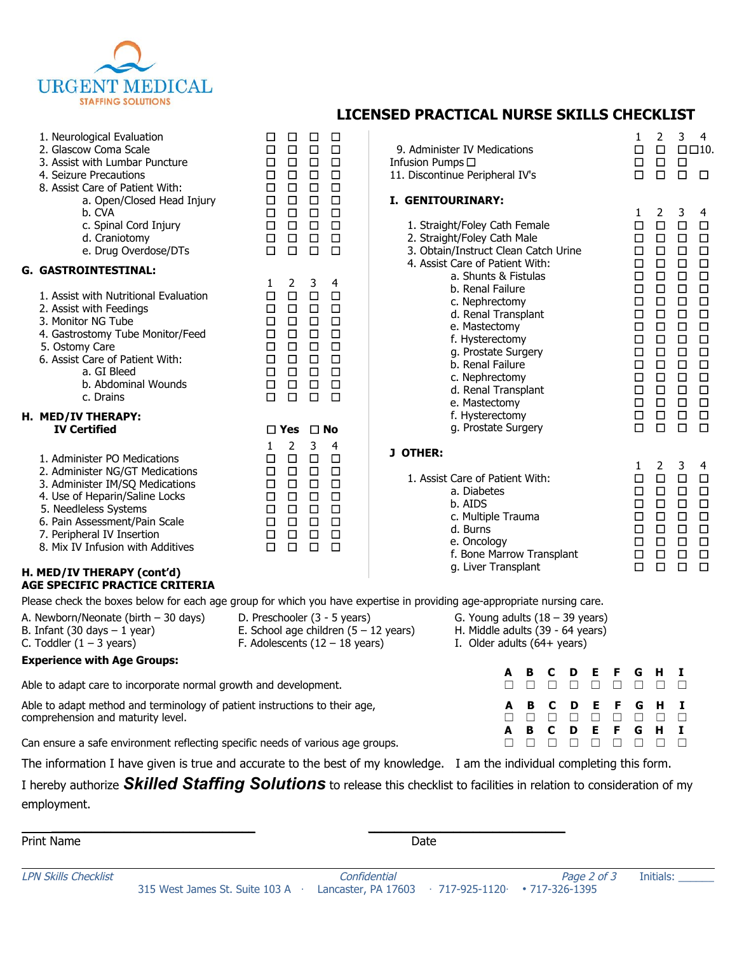

|                                                                                                                                     |                                                                                                                                                                                                                                                                   |                                                                                                                     |                                                                                             |                                                                                             |                                                                                             | LICLINGLU FRACTICAL NURGL GRILLS CHLCRLIST          |                                                                                                                                                                                                    |                                                                                                                        |   |         |  |                  |                  |                                                                                                  |                                                                                                  |                                                                                                  |                                                                                                  |
|-------------------------------------------------------------------------------------------------------------------------------------|-------------------------------------------------------------------------------------------------------------------------------------------------------------------------------------------------------------------------------------------------------------------|---------------------------------------------------------------------------------------------------------------------|---------------------------------------------------------------------------------------------|---------------------------------------------------------------------------------------------|---------------------------------------------------------------------------------------------|-----------------------------------------------------|----------------------------------------------------------------------------------------------------------------------------------------------------------------------------------------------------|------------------------------------------------------------------------------------------------------------------------|---|---------|--|------------------|------------------|--------------------------------------------------------------------------------------------------|--------------------------------------------------------------------------------------------------|--------------------------------------------------------------------------------------------------|--------------------------------------------------------------------------------------------------|
|                                                                                                                                     | 1. Neurological Evaluation<br>2. Glascow Coma Scale<br>3. Assist with Lumbar Puncture<br>4. Seizure Precautions<br>8. Assist Care of Patient With:                                                                                                                | □<br>$\Box$<br>$\Box$<br>$\Box$<br>$\Box$                                                                           | $\Box$<br>$\Box$<br>$\Box$<br>$\Box$<br>$\Box$                                              | $\Box$<br>$\Box$<br>$\Box$<br>$\Box$<br>$\Box$                                              | $\Box$<br>$\Box$<br>$\Box$<br>$\Box$<br>$\Box$                                              | Infusion Pumps □<br>11. Discontinue Peripheral IV's | 9. Administer IV Medications                                                                                                                                                                       |                                                                                                                        |   |         |  |                  |                  | 1<br>$\Box$<br>$\Box$<br>$\Box$                                                                  | $\overline{2}$<br>$\Box$<br>$\Box$<br>$\Box$                                                     | 3<br>$\Box$<br>$\Box$                                                                            | -4<br>$\Box \Box 10.$<br>$\Box$                                                                  |
|                                                                                                                                     | a. Open/Closed Head Injury<br>b. CVA<br>c. Spinal Cord Injury<br>d. Craniotomy<br>e. Drug Overdose/DTs                                                                                                                                                            | $\Box$<br>$\Box$<br>$\Box$<br>$\Box$<br>$\Box$                                                                      | $\Box$<br>$\Box$<br>$\Box$<br>$\Box$<br>$\Box$                                              | $\Box$<br>$\Box$<br>$\Box$<br>$\Box$<br>$\Box$                                              | $\Box$<br>$\Box$<br>$\Box$<br>$\Box$<br>$\Box$                                              | I. GENITOURINARY:                                   | 1. Straight/Foley Cath Female<br>2. Straight/Foley Cath Male<br>3. Obtain/Instruct Clean Catch Urine                                                                                               |                                                                                                                        |   |         |  |                  |                  | 1<br>$\Box$<br>$\Box$<br>$\Box$                                                                  | $\overline{2}$<br>$\Box$<br>$\Box$<br>$\Box$                                                     | 3<br>$\Box$<br>$\Box$<br>$\Box$                                                                  | 4<br>$\Box$<br>$\Box$<br>$\Box$                                                                  |
|                                                                                                                                     | G. GASTROINTESTINAL:                                                                                                                                                                                                                                              |                                                                                                                     |                                                                                             |                                                                                             |                                                                                             |                                                     | 4. Assist Care of Patient With:<br>a. Shunts & Fistulas                                                                                                                                            |                                                                                                                        |   |         |  |                  |                  | $\Box$<br>$\Box$                                                                                 | $\Box$<br>$\Box$                                                                                 | $\Box$<br>$\Box$                                                                                 | $\Box$<br>$\Box$                                                                                 |
|                                                                                                                                     | 1. Assist with Nutritional Evaluation<br>2. Assist with Feedings<br>3. Monitor NG Tube<br>4. Gastrostomy Tube Monitor/Feed<br>5. Ostomy Care<br>6. Assist Care of Patient With:<br>a. GI Bleed<br>b. Abdominal Wounds<br>c. Drains                                | 1<br>$\Box$<br>$\Box$<br>$\Box$<br>$\Box$<br>$\Box$<br>$\Box$<br>$\Box$<br>$\Box$<br>$\Box$                         | 2<br>$\Box$<br>$\Box$<br>$\Box$<br>$\Box$<br>$\Box$<br>$\Box$<br>$\Box$<br>$\Box$<br>$\Box$ | 3<br>$\Box$<br>$\Box$<br>$\Box$<br>$\Box$<br>$\Box$<br>$\Box$<br>$\Box$<br>$\Box$<br>$\Box$ | 4<br>$\Box$<br>$\Box$<br>$\Box$<br>$\Box$<br>$\Box$<br>$\Box$<br>$\Box$<br>$\Box$<br>$\Box$ |                                                     | b. Renal Failure<br>c. Nephrectomy<br>d. Renal Transplant<br>e. Mastectomy<br>f. Hysterectomy<br>g. Prostate Surgery<br>b. Renal Failure<br>c. Nephrectomy<br>d. Renal Transplant<br>e. Mastectomy |                                                                                                                        |   |         |  |                  |                  | $\Box$<br>$\Box$<br>$\Box$<br>$\Box$<br>$\Box$<br>$\Box$<br>$\Box$<br>$\Box$<br>$\Box$<br>$\Box$ | $\Box$<br>$\Box$<br>$\Box$<br>$\Box$<br>$\Box$<br>$\Box$<br>$\Box$<br>$\Box$<br>$\Box$<br>$\Box$ | $\Box$<br>$\Box$<br>$\Box$<br>$\Box$<br>$\Box$<br>$\Box$<br>$\Box$<br>$\Box$<br>$\Box$<br>$\Box$ | $\Box$<br>$\Box$<br>$\Box$<br>$\Box$<br>$\Box$<br>$\Box$<br>$\Box$<br>$\Box$<br>$\Box$<br>$\Box$ |
|                                                                                                                                     | <b>H. MED/IV THERAPY:</b>                                                                                                                                                                                                                                         | f. Hysterectomy<br>g. Prostate Surgery<br>$\square$ No<br>$\square$ Yes                                             |                                                                                             |                                                                                             |                                                                                             |                                                     |                                                                                                                                                                                                    |                                                                                                                        |   |         |  | $\Box$<br>$\Box$ | $\Box$<br>$\Box$ | $\Box$<br>$\Box$                                                                                 | $\Box$<br>$\Box$                                                                                 |                                                                                                  |                                                                                                  |
|                                                                                                                                     | <b>IV Certified</b>                                                                                                                                                                                                                                               | 1                                                                                                                   | 2                                                                                           | 3                                                                                           | 4                                                                                           |                                                     |                                                                                                                                                                                                    |                                                                                                                        |   |         |  |                  |                  |                                                                                                  |                                                                                                  |                                                                                                  |                                                                                                  |
|                                                                                                                                     | 1. Administer PO Medications<br>2. Administer NG/GT Medications<br>3. Administer IM/SQ Medications<br>4. Use of Heparin/Saline Locks<br>5. Needleless Systems<br>6. Pain Assessment/Pain Scale<br>7. Peripheral IV Insertion<br>8. Mix IV Infusion with Additives | □<br>$\Box$<br>$\Box$<br>$\Box$<br>$\Box$<br>$\Box$<br>$\Box$<br>$\Box$                                             | $\Box$<br>$\Box$<br>$\Box$<br>$\Box$<br>$\Box$<br>$\Box$<br>$\Box$<br>$\Box$                | $\Box$<br>$\Box$<br>$\Box$<br>$\Box$<br>$\Box$<br>$\Box$<br>$\Box$<br>$\Box$                | $\Box$<br>$\Box$<br>$\Box$<br>$\Box$<br>$\Box$<br>$\Box$<br>$\Box$<br>$\Box$                | J OTHER:                                            | 1. Assist Care of Patient With:<br>a. Diabetes<br>b. AIDS<br>c. Multiple Trauma<br>d. Burns<br>e. Oncology<br>f. Bone Marrow Transplant<br>g. Liver Transplant                                     |                                                                                                                        |   |         |  |                  |                  | 1<br>$\Box$<br>$\Box$<br>$\Box$<br>$\Box$<br>$\Box$<br>$\Box$<br>$\Box$<br>$\Box$                | $\overline{2}$<br>$\Box$<br>$\Box$<br>$\Box$<br>$\Box$<br>$\Box$<br>$\Box$<br>$\Box$<br>$\Box$   | 3<br>$\Box$<br>$\Box$<br>$\Box$<br>$\Box$<br>$\Box$<br>$\Box$<br>$\Box$<br>$\Box$                | 4<br>$\Box$<br>$\Box$<br>$\Box$<br>$\Box$<br>$\Box$<br>$\Box$<br>$\Box$<br>$\Box$                |
|                                                                                                                                     | H. MED/IV THERAPY (cont'd)<br><b>AGE SPECIFIC PRACTICE CRITERIA</b>                                                                                                                                                                                               |                                                                                                                     |                                                                                             |                                                                                             |                                                                                             |                                                     |                                                                                                                                                                                                    |                                                                                                                        |   |         |  |                  |                  |                                                                                                  |                                                                                                  |                                                                                                  |                                                                                                  |
|                                                                                                                                     | Please check the boxes below for each age group for which you have expertise in providing age-appropriate nursing care.                                                                                                                                           |                                                                                                                     |                                                                                             |                                                                                             |                                                                                             |                                                     |                                                                                                                                                                                                    |                                                                                                                        |   |         |  |                  |                  |                                                                                                  |                                                                                                  |                                                                                                  |                                                                                                  |
|                                                                                                                                     | A. Newborn/Neonate (birth - 30 days)<br>B. Infant $(30 \text{ days} - 1 \text{ year})$<br>C. Toddler $(1 - 3$ years)                                                                                                                                              | D. Preschooler (3 - 5 years)<br>E. School age children $(5 - 12 \text{ years})$<br>F. Adolescents $(12 - 18$ years) |                                                                                             |                                                                                             |                                                                                             |                                                     |                                                                                                                                                                                                    | G. Young adults $(18 - 39 \text{ years})$<br>H. Middle adults (39 - 64 years)<br>I. Older adults $(64 + \text{years})$ |   |         |  |                  |                  |                                                                                                  |                                                                                                  |                                                                                                  |                                                                                                  |
|                                                                                                                                     | <b>Experience with Age Groups:</b>                                                                                                                                                                                                                                |                                                                                                                     |                                                                                             |                                                                                             |                                                                                             |                                                     |                                                                                                                                                                                                    |                                                                                                                        |   |         |  |                  |                  |                                                                                                  |                                                                                                  |                                                                                                  |                                                                                                  |
| Able to adapt care to incorporate normal growth and development.                                                                    |                                                                                                                                                                                                                                                                   |                                                                                                                     |                                                                                             |                                                                                             |                                                                                             |                                                     |                                                                                                                                                                                                    |                                                                                                                        |   |         |  |                  |                  | G                                                                                                |                                                                                                  |                                                                                                  |                                                                                                  |
| Able to adapt method and terminology of patient instructions to their age,<br>D<br>в<br>F<br>А<br>comprehension and maturity level. |                                                                                                                                                                                                                                                                   |                                                                                                                     |                                                                                             |                                                                                             |                                                                                             |                                                     |                                                                                                                                                                                                    | G<br>G                                                                                                                 | н | I<br>Ι. |  |                  |                  |                                                                                                  |                                                                                                  |                                                                                                  |                                                                                                  |
| Ε<br>с<br>D<br>в<br>Can ensure a safe environment reflecting specific needs of various age groups.<br>П                             |                                                                                                                                                                                                                                                                   |                                                                                                                     |                                                                                             |                                                                                             |                                                                                             |                                                     |                                                                                                                                                                                                    |                                                                                                                        | н | □       |  |                  |                  |                                                                                                  |                                                                                                  |                                                                                                  |                                                                                                  |
|                                                                                                                                     | The information I have given is true and accurate to the best of my knowledge. I am the individual completing this form.                                                                                                                                          |                                                                                                                     |                                                                                             |                                                                                             |                                                                                             |                                                     |                                                                                                                                                                                                    |                                                                                                                        |   |         |  |                  |                  |                                                                                                  |                                                                                                  |                                                                                                  |                                                                                                  |
|                                                                                                                                     | I hereby authorize <b>Skilled Staffing Solutions</b> to release this checklist to facilities in relation to consideration of my<br>employment.                                                                                                                    |                                                                                                                     |                                                                                             |                                                                                             |                                                                                             |                                                     |                                                                                                                                                                                                    |                                                                                                                        |   |         |  |                  |                  |                                                                                                  |                                                                                                  |                                                                                                  |                                                                                                  |
|                                                                                                                                     |                                                                                                                                                                                                                                                                   |                                                                                                                     |                                                                                             |                                                                                             |                                                                                             |                                                     |                                                                                                                                                                                                    |                                                                                                                        |   |         |  |                  |                  |                                                                                                  |                                                                                                  |                                                                                                  |                                                                                                  |

| Print Name                  |                                | Date |                                                                               |             |           |  |  |  |  |
|-----------------------------|--------------------------------|------|-------------------------------------------------------------------------------|-------------|-----------|--|--|--|--|
| <b>LPN Skills Checklist</b> | 315 West James St. Suite 103 A |      | Confidential<br>Lancaster, PA 17603 $\cdot$ 717-925-1120 $\cdot$ 717-326-1395 | Page 2 of 3 | Initials: |  |  |  |  |

## **LICENSED PRACTICAL NURSE SKILLS CHECKLIST**